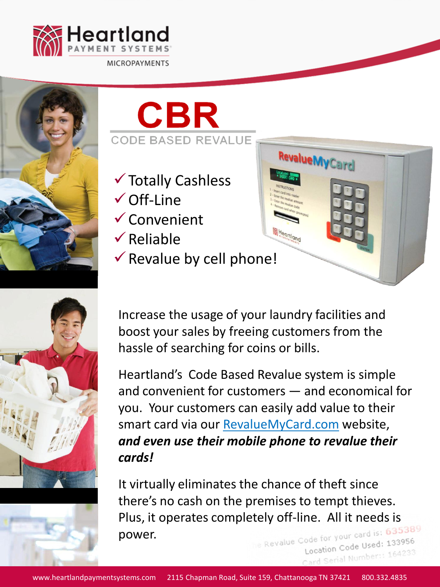







- Totally Cashless
- $\checkmark$  Off-Line
- Convenient
- $\sqrt{R}$ eliable
- $\checkmark$  Revalue by cell phone!



Card Serial Number: 164233

**RevalueMyCard** 

Increase the usage of your laundry facilities and boost your sales by freeing customers from the hassle of searching for coins or bills.

Heartland's Code Based Revalue system is simple and convenient for customers — and economical for you. Your customers can easily add value to their smart card via our RevalueMyCard.com website, *and even use their mobile phone to revalue their cards!*

It virtually eliminates the chance of theft since there's no cash on the premises to tempt thieves. Plus, it operates completely off-line. All it needs is<br>power. power.Location Code Used: 133956